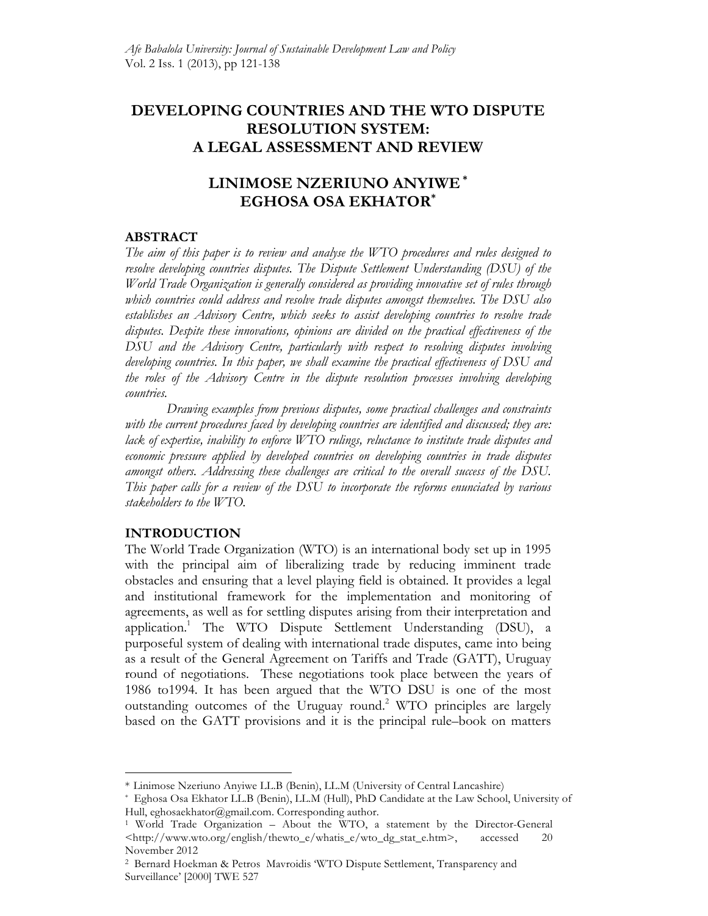# **DEVELOPING COUNTRIES AND THE WTO DISPUTE RESOLUTION SYSTEM: A LEGAL ASSESSMENT AND REVIEW**

# **LINIMOSE NZERIUNO ANYIWE \* EGHOSA OSA EKHATOR\***

# **ABSTRACT**

*The aim of this paper is to review and analyse the WTO procedures and rules designed to resolve developing countries disputes. The Dispute Settlement Understanding (DSU) of the World Trade Organization is generally considered as providing innovative set of rules through which countries could address and resolve trade disputes amongst themselves. The DSU also establishes an Advisory Centre, which seeks to assist developing countries to resolve trade disputes. Despite these innovations, opinions are divided on the practical effectiveness of the DSU and the Advisory Centre, particularly with respect to resolving disputes involving developing countries. In this paper, we shall examine the practical effectiveness of DSU and the roles of the Advisory Centre in the dispute resolution processes involving developing countries.* 

*Drawing examples from previous disputes, some practical challenges and constraints with the current procedures faced by developing countries are identified and discussed; they are: lack of expertise, inability to enforce WTO rulings, reluctance to institute trade disputes and economic pressure applied by developed countries on developing countries in trade disputes amongst others. Addressing these challenges are critical to the overall success of the DSU. This paper calls for a review of the DSU to incorporate the reforms enunciated by various stakeholders to the WTO.*

# **INTRODUCTION**

 $\overline{a}$ 

The World Trade Organization (WTO) is an international body set up in 1995 with the principal aim of liberalizing trade by reducing imminent trade obstacles and ensuring that a level playing field is obtained. It provides a legal and institutional framework for the implementation and monitoring of agreements, as well as for settling disputes arising from their interpretation and application.1 The WTO Dispute Settlement Understanding (DSU), a purposeful system of dealing with international trade disputes, came into being as a result of the General Agreement on Tariffs and Trade (GATT), Uruguay round of negotiations. These negotiations took place between the years of 1986 to1994. It has been argued that the WTO DSU is one of the most outstanding outcomes of the Uruguay round.2 WTO principles are largely based on the GATT provisions and it is the principal rule–book on matters

<sup>\*</sup> Linimose Nzeriuno Anyiwe LL.B (Benin), LL.M (University of Central Lancashire)

<sup>\*</sup> Eghosa Osa Ekhator LL.B (Benin), LL.M (Hull), PhD Candidate at the Law School, University of Hull, eghosaekhator@gmail.com. Corresponding author.

<sup>1</sup> World Trade Organization – About the WTO, a statement by the Director-General <http://www.wto.org/english/thewto\_e/whatis\_e/wto\_dg\_stat\_e.htm>, accessed 20 November 2012

<sup>2</sup> Bernard Hoekman & Petros Mavroidis 'WTO Dispute Settlement, Transparency and Surveillance' [2000] TWE 527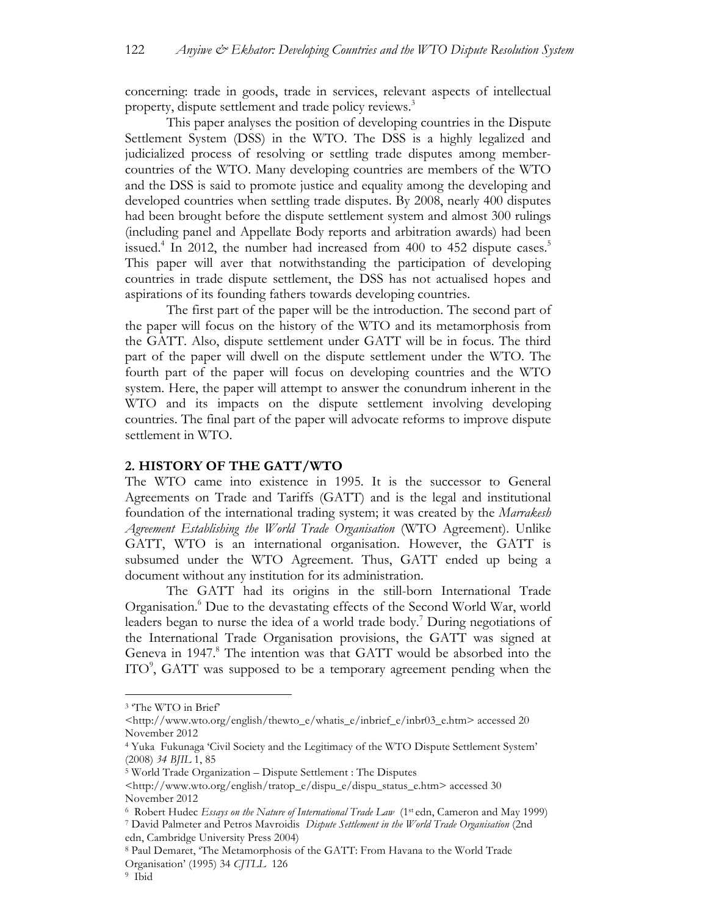concerning: trade in goods, trade in services, relevant aspects of intellectual property, dispute settlement and trade policy reviews.<sup>3</sup>

This paper analyses the position of developing countries in the Dispute Settlement System (DSS) in the WTO. The DSS is a highly legalized and judicialized process of resolving or settling trade disputes among membercountries of the WTO. Many developing countries are members of the WTO and the DSS is said to promote justice and equality among the developing and developed countries when settling trade disputes. By 2008, nearly 400 disputes had been brought before the dispute settlement system and almost 300 rulings (including panel and Appellate Body reports and arbitration awards) had been issued.<sup>4</sup> In 2012, the number had increased from 400 to 452 dispute cases.<sup>5</sup> This paper will aver that notwithstanding the participation of developing countries in trade dispute settlement, the DSS has not actualised hopes and aspirations of its founding fathers towards developing countries.

The first part of the paper will be the introduction. The second part of the paper will focus on the history of the WTO and its metamorphosis from the GATT. Also, dispute settlement under GATT will be in focus. The third part of the paper will dwell on the dispute settlement under the WTO. The fourth part of the paper will focus on developing countries and the WTO system. Here, the paper will attempt to answer the conundrum inherent in the WTO and its impacts on the dispute settlement involving developing countries. The final part of the paper will advocate reforms to improve dispute settlement in WTO.

#### **2. HISTORY OF THE GATT/WTO**

The WTO came into existence in 1995. It is the successor to General Agreements on Trade and Tariffs (GATT) and is the legal and institutional foundation of the international trading system; it was created by the *Marrakesh Agreement Establishing the World Trade Organisation* (WTO Agreement). Unlike GATT, WTO is an international organisation. However, the GATT is subsumed under the WTO Agreement. Thus, GATT ended up being a document without any institution for its administration.

The GATT had its origins in the still-born International Trade Organisation.<sup>6</sup> Due to the devastating effects of the Second World War, world leaders began to nurse the idea of a world trade body.<sup>7</sup> During negotiations of the International Trade Organisation provisions, the GATT was signed at Geneva in 1947.<sup>8</sup> The intention was that GATT would be absorbed into the ITO<sup>9</sup>, GATT was supposed to be a temporary agreement pending when the

<sup>3</sup> 'The WTO in Brief'

<sup>&</sup>lt;http://www.wto.org/english/thewto\_e/whatis\_e/inbrief\_e/inbr03\_e.htm> accessed 20 November 2012

<sup>4</sup> Yuka Fukunaga 'Civil Society and the Legitimacy of the WTO Dispute Settlement System' (2008) *34 BJIL* 1, 85

<sup>5</sup> World Trade Organization – Dispute Settlement : The Disputes

<sup>&</sup>lt;http://www.wto.org/english/tratop\_e/dispu\_e/dispu\_status\_e.htm> accessed 30 November 2012

<sup>6</sup> Robert Hudec *Essays on the Nature of International Trade Law* (1st edn, Cameron and May 1999) 7 David Palmeter and Petros Mavroidis *Dispute Settlement in the World Trade Organisation* (2nd

edn, Cambridge University Press 2004)

<sup>8</sup> Paul Demaret, 'The Metamorphosis of the GATT: From Havana to the World Trade Organisation' (1995) 34 *CJTLL* 126 9 Ibid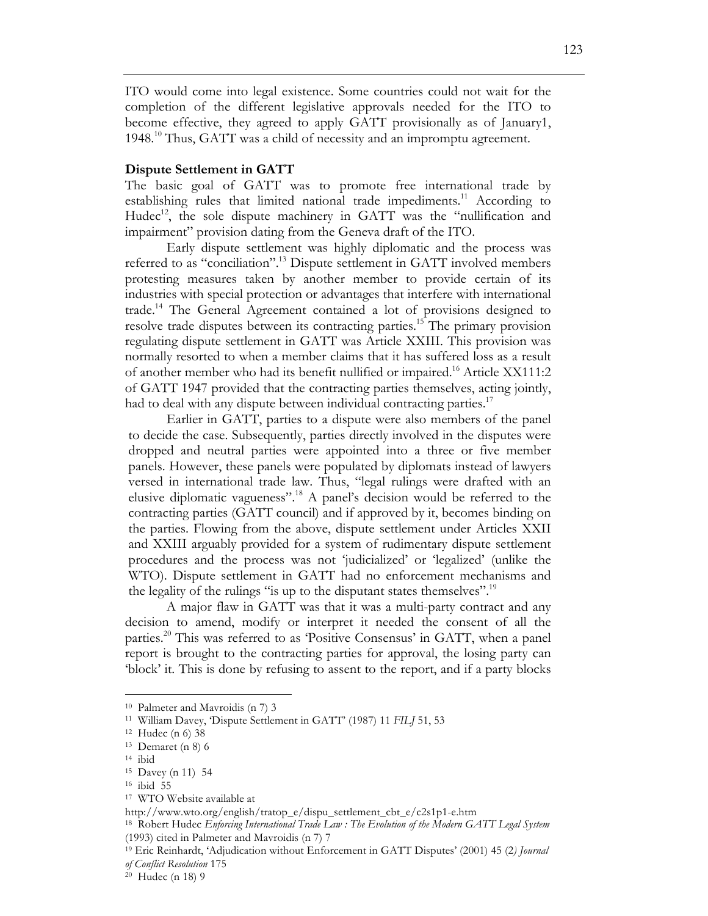ITO would come into legal existence. Some countries could not wait for the completion of the different legislative approvals needed for the ITO to become effective, they agreed to apply GATT provisionally as of January1, 1948.10 Thus, GATT was a child of necessity and an impromptu agreement.

### **Dispute Settlement in GATT**

The basic goal of GATT was to promote free international trade by establishing rules that limited national trade impediments.<sup>11</sup> According to Hudec<sup>12</sup>, the sole dispute machinery in GATT was the "nullification and impairment" provision dating from the Geneva draft of the ITO.

Early dispute settlement was highly diplomatic and the process was referred to as "conciliation".13 Dispute settlement in GATT involved members protesting measures taken by another member to provide certain of its industries with special protection or advantages that interfere with international trade.14 The General Agreement contained a lot of provisions designed to resolve trade disputes between its contracting parties.<sup>15</sup> The primary provision regulating dispute settlement in GATT was Article XXIII. This provision was normally resorted to when a member claims that it has suffered loss as a result of another member who had its benefit nullified or impaired.<sup>16</sup> Article XX111:2 of GATT 1947 provided that the contracting parties themselves, acting jointly, had to deal with any dispute between individual contracting parties.<sup>17</sup>

Earlier in GATT, parties to a dispute were also members of the panel to decide the case. Subsequently, parties directly involved in the disputes were dropped and neutral parties were appointed into a three or five member panels. However, these panels were populated by diplomats instead of lawyers versed in international trade law. Thus, "legal rulings were drafted with an elusive diplomatic vagueness".18 A panel's decision would be referred to the contracting parties (GATT council) and if approved by it, becomes binding on the parties. Flowing from the above, dispute settlement under Articles XXII and XXIII arguably provided for a system of rudimentary dispute settlement procedures and the process was not 'judicialized' or 'legalized' (unlike the WTO). Dispute settlement in GATT had no enforcement mechanisms and the legality of the rulings "is up to the disputant states themselves".19

A major flaw in GATT was that it was a multi-party contract and any decision to amend, modify or interpret it needed the consent of all the parties.<sup>20</sup> This was referred to as 'Positive Consensus' in GATT, when a panel report is brought to the contracting parties for approval, the losing party can 'block' it. This is done by refusing to assent to the report, and if a party blocks

<sup>10</sup> Palmeter and Mavroidis (n 7) 3

<sup>11</sup> William Davey, 'Dispute Settlement in GATT' (1987) 11 *FILJ* 51, 53

<sup>12</sup> Hudec (n 6) 38

<sup>13</sup> Demaret (n 8) 6

<sup>14</sup> ibid

<sup>15</sup> Davey (n 11) 54

<sup>&</sup>lt;sup>16</sup> ibid 55<br><sup>17</sup> WTO Website available at

http://www.wto.org/english/tratop\_e/dispu\_settlement\_cbt\_e/c2s1p1-e.htm

<sup>18</sup> Robert Hudec *Enforcing International Trade Law : The Evolution of the Modern GATT Legal System* (1993) cited in Palmeter and Mavroidis (n 7) 7

<sup>19</sup> Eric Reinhardt, 'Adjudication without Enforcement in GATT Disputes' (2001) 45 (2*) Journal of Conflict Resolution* 175

<sup>20</sup> Hudec (n 18) 9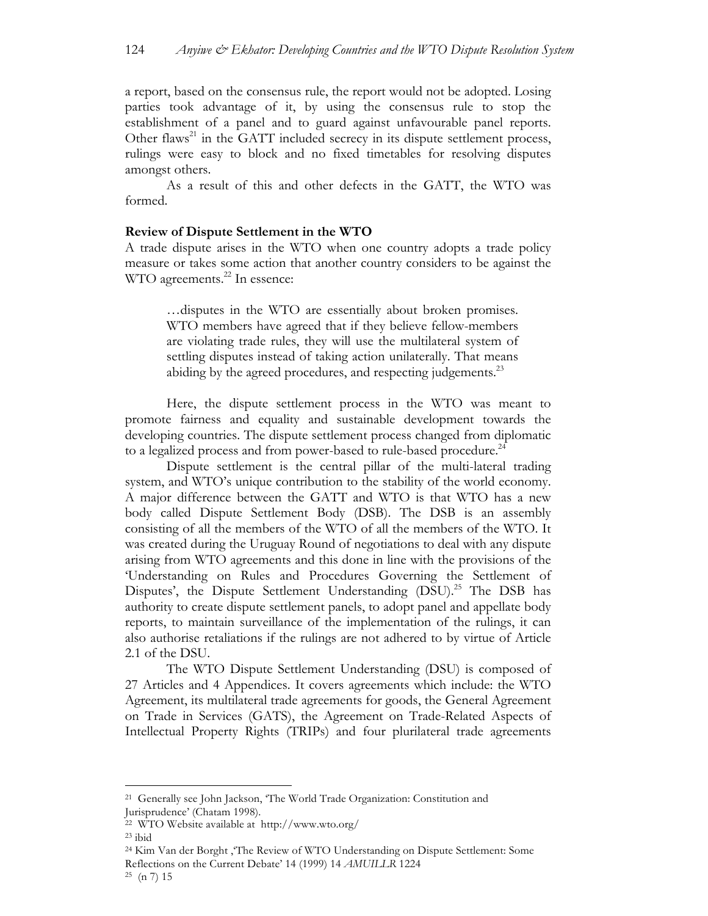a report, based on the consensus rule, the report would not be adopted. Losing parties took advantage of it, by using the consensus rule to stop the establishment of a panel and to guard against unfavourable panel reports. Other flaws<sup>21</sup> in the GATT included secrecy in its dispute settlement process, rulings were easy to block and no fixed timetables for resolving disputes amongst others.

As a result of this and other defects in the GATT, the WTO was formed.

#### **Review of Dispute Settlement in the WTO**

A trade dispute arises in the WTO when one country adopts a trade policy measure or takes some action that another country considers to be against the WTO agreements.<sup>22</sup> In essence:

…disputes in the WTO are essentially about broken promises. WTO members have agreed that if they believe fellow-members are violating trade rules, they will use the multilateral system of settling disputes instead of taking action unilaterally. That means abiding by the agreed procedures, and respecting judgements. $^{23}$ 

Here, the dispute settlement process in the WTO was meant to promote fairness and equality and sustainable development towards the developing countries. The dispute settlement process changed from diplomatic to a legalized process and from power-based to rule-based procedure.<sup>24</sup>

Dispute settlement is the central pillar of the multi-lateral trading system, and WTO's unique contribution to the stability of the world economy. A major difference between the GATT and WTO is that WTO has a new body called Dispute Settlement Body (DSB). The DSB is an assembly consisting of all the members of the WTO of all the members of the WTO. It was created during the Uruguay Round of negotiations to deal with any dispute arising from WTO agreements and this done in line with the provisions of the 'Understanding on Rules and Procedures Governing the Settlement of Disputes', the Dispute Settlement Understanding (DSU).<sup>25</sup> The DSB has authority to create dispute settlement panels, to adopt panel and appellate body reports, to maintain surveillance of the implementation of the rulings, it can also authorise retaliations if the rulings are not adhered to by virtue of Article 2.1 of the DSU.

The WTO Dispute Settlement Understanding (DSU) is composed of 27 Articles and 4 Appendices. It covers agreements which include: the WTO Agreement, its multilateral trade agreements for goods, the General Agreement on Trade in Services (GATS), the Agreement on Trade-Related Aspects of Intellectual Property Rights (TRIPs) and four plurilateral trade agreements

<sup>21</sup> Generally see John Jackson, 'The World Trade Organization: Constitution and Jurisprudence' (Chatam 1998).

<sup>22</sup> WTO Website available at http://www.wto.org/ 23 ibid

<sup>24</sup> Kim Van der Borght ,'The Review of WTO Understanding on Dispute Settlement: Some Reflections on the Current Debate' 14 (1999) 14 *AMUILLR* 1224

 $25$  (n 7) 15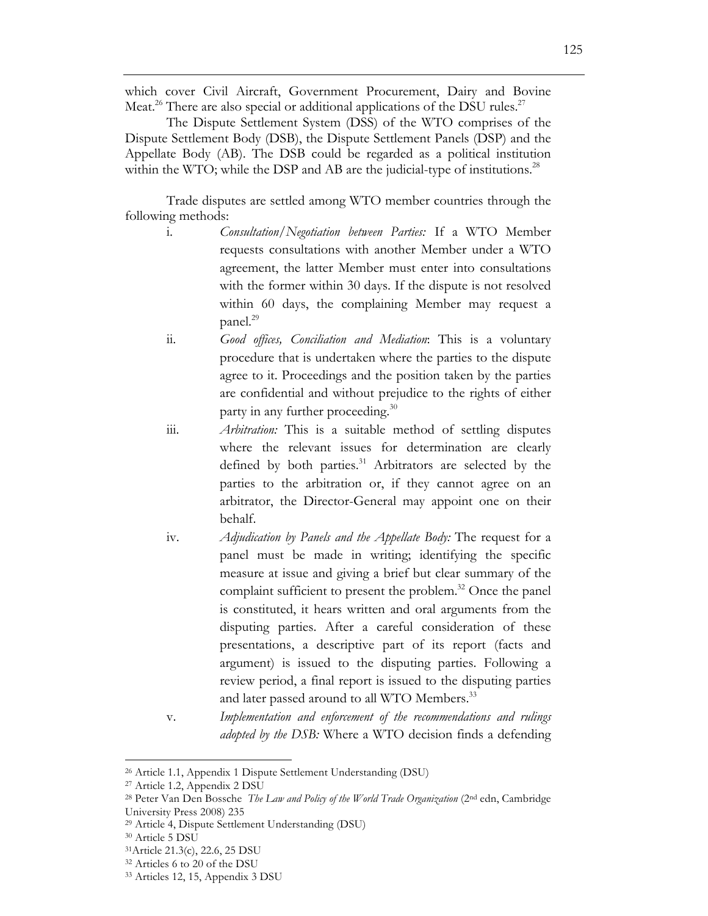which cover Civil Aircraft, Government Procurement, Dairy and Bovine Meat.<sup>26</sup> There are also special or additional applications of the DSU rules.<sup>27</sup>

The Dispute Settlement System (DSS) of the WTO comprises of the Dispute Settlement Body (DSB), the Dispute Settlement Panels (DSP) and the Appellate Body (AB). The DSB could be regarded as a political institution within the WTO; while the DSP and AB are the judicial-type of institutions.<sup>28</sup>

Trade disputes are settled among WTO member countries through the following methods:

- i. *Consultation/Negotiation between Parties:* If a WTO Member requests consultations with another Member under a WTO agreement, the latter Member must enter into consultations with the former within 30 days. If the dispute is not resolved within 60 days, the complaining Member may request a panel.<sup>29</sup>
- ii. *Good offices, Conciliation and Mediation*: This is a voluntary procedure that is undertaken where the parties to the dispute agree to it. Proceedings and the position taken by the parties are confidential and without prejudice to the rights of either party in any further proceeding.<sup>30</sup>
- iii. *Arbitration:* This is a suitable method of settling disputes where the relevant issues for determination are clearly defined by both parties.<sup>31</sup> Arbitrators are selected by the parties to the arbitration or, if they cannot agree on an arbitrator, the Director-General may appoint one on their behalf.
- iv. *Adjudication by Panels and the Appellate Body:* The request for a panel must be made in writing; identifying the specific measure at issue and giving a brief but clear summary of the complaint sufficient to present the problem.<sup>32</sup> Once the panel is constituted, it hears written and oral arguments from the disputing parties. After a careful consideration of these presentations, a descriptive part of its report (facts and argument) is issued to the disputing parties. Following a review period, a final report is issued to the disputing parties and later passed around to all WTO Members.<sup>33</sup>
- v. *Implementation and enforcement of the recommendations and rulings adopted by the DSB:* Where a WTO decision finds a defending

<sup>26</sup> Article 1.1, Appendix 1 Dispute Settlement Understanding (DSU)

<sup>27</sup> Article 1.2, Appendix 2 DSU

<sup>28</sup> Peter Van Den Bossche *The Law and Policy of the World Trade Organization* (2nd edn, Cambridge University Press 2008) 235

<sup>29</sup> Article 4, Dispute Settlement Understanding (DSU)

<sup>30</sup> Article 5 DSU

<sup>31</sup>Article 21.3(c), 22.6, 25 DSU

<sup>32</sup> Articles 6 to 20 of the DSU

<sup>33</sup> Articles 12, 15, Appendix 3 DSU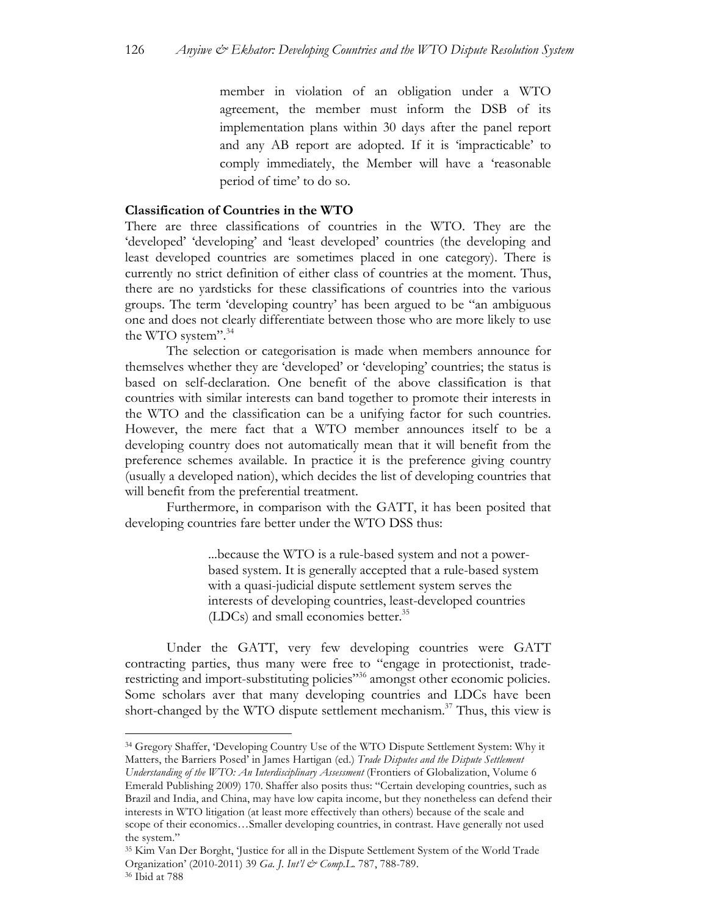member in violation of an obligation under a WTO agreement, the member must inform the DSB of its implementation plans within 30 days after the panel report and any AB report are adopted. If it is 'impracticable' to comply immediately, the Member will have a 'reasonable period of time' to do so.

# **Classification of Countries in the WTO**

There are three classifications of countries in the WTO. They are the 'developed' 'developing' and 'least developed' countries (the developing and least developed countries are sometimes placed in one category). There is currently no strict definition of either class of countries at the moment. Thus, there are no yardsticks for these classifications of countries into the various groups. The term 'developing country' has been argued to be "an ambiguous one and does not clearly differentiate between those who are more likely to use the WTO system".<sup>34</sup>

The selection or categorisation is made when members announce for themselves whether they are 'developed' or 'developing' countries; the status is based on self-declaration. One benefit of the above classification is that countries with similar interests can band together to promote their interests in the WTO and the classification can be a unifying factor for such countries. However, the mere fact that a WTO member announces itself to be a developing country does not automatically mean that it will benefit from the preference schemes available. In practice it is the preference giving country (usually a developed nation), which decides the list of developing countries that will benefit from the preferential treatment.

Furthermore, in comparison with the GATT, it has been posited that developing countries fare better under the WTO DSS thus:

> ...because the WTO is a rule-based system and not a powerbased system. It is generally accepted that a rule-based system with a quasi-judicial dispute settlement system serves the interests of developing countries, least-developed countries (LDCs) and small economies better.35

Under the GATT, very few developing countries were GATT contracting parties, thus many were free to "engage in protectionist, traderestricting and import-substituting policies"<sup>36</sup> amongst other economic policies. Some scholars aver that many developing countries and LDCs have been short-changed by the WTO dispute settlement mechanism.<sup>37</sup> Thus, this view is

<sup>34</sup> Gregory Shaffer, 'Developing Country Use of the WTO Dispute Settlement System: Why it Matters, the Barriers Posed' in James Hartigan (ed.) *Trade Disputes and the Dispute Settlement* 

Understanding of the WTO: An Interdisciplinary Assessment (Frontiers of Globalization, Volume 6 Emerald Publishing 2009) 170. Shaffer also posits thus: "Certain developing countries, such as Brazil and India, and China, may have low capita income, but they nonetheless can defend their interests in WTO litigation (at least more effectively than others) because of the scale and scope of their economics…Smaller developing countries, in contrast. Have generally not used the system."

<sup>35</sup> Kim Van Der Borght, 'Justice for all in the Dispute Settlement System of the World Trade Organization' (2010-2011) 39 *Ga. J. Int'l & Comp.L*. 787, 788-789. <sup>36</sup> Ibid at 788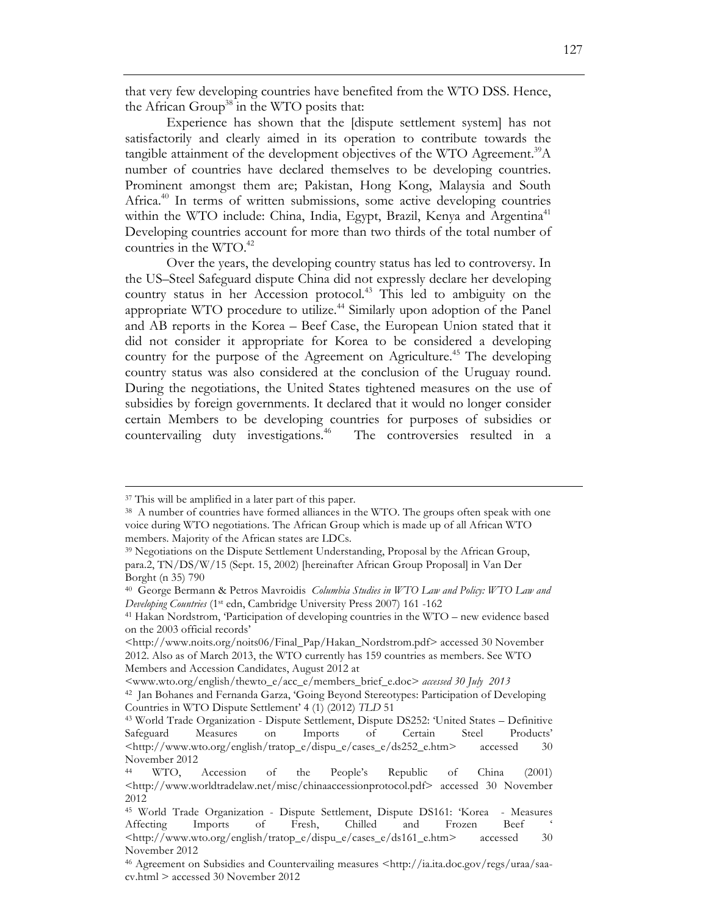that very few developing countries have benefited from the WTO DSS. Hence, the African Group<sup>38</sup> in the WTO posits that:

Experience has shown that the [dispute settlement system] has not satisfactorily and clearly aimed in its operation to contribute towards the tangible attainment of the development objectives of the WTO Agreement.<sup>39</sup>A number of countries have declared themselves to be developing countries. Prominent amongst them are; Pakistan, Hong Kong, Malaysia and South Africa.<sup>40</sup> In terms of written submissions, some active developing countries within the WTO include: China, India, Egypt, Brazil, Kenya and Argentina<sup>41</sup> Developing countries account for more than two thirds of the total number of countries in the  $WTO.<sup>42</sup>$ 

Over the years, the developing country status has led to controversy. In the US–Steel Safeguard dispute China did not expressly declare her developing country status in her Accession protocol.<sup>43</sup> This led to ambiguity on the appropriate WTO procedure to utilize.<sup>44</sup> Similarly upon adoption of the Panel and AB reports in the Korea – Beef Case, the European Union stated that it did not consider it appropriate for Korea to be considered a developing country for the purpose of the Agreement on Agriculture.<sup>45</sup> The developing country status was also considered at the conclusion of the Uruguay round. During the negotiations, the United States tightened measures on the use of subsidies by foreign governments. It declared that it would no longer consider certain Members to be developing countries for purposes of subsidies or countervailing duty investigations.<sup>46</sup> The controversies resulted in a

<sup>37</sup> This will be amplified in a later part of this paper.

<sup>38</sup> A number of countries have formed alliances in the WTO. The groups often speak with one voice during WTO negotiations. The African Group which is made up of all African WTO members. Majority of the African states are LDCs.

<sup>&</sup>lt;sup>39</sup> Negotiations on the Dispute Settlement Understanding, Proposal by the African Group, para.2, TN/DS/W/15 (Sept. 15, 2002) [hereinafter African Group Proposal] in Van Der Borght (n 35) 790

<sup>40</sup> George Bermann & Petros Mavroidis *Columbia Studies in WTO Law and Policy: WTO Law and Developing Countries* (1st edn, Cambridge University Press 2007) 161 -162

<sup>41</sup> Hakan Nordstrom, 'Participation of developing countries in the WTO – new evidence based on the 2003 official records'

<sup>&</sup>lt;http://www.noits.org/noits06/Final\_Pap/Hakan\_Nordstrom.pdf> accessed 30 November 2012. Also as of March 2013, the WTO currently has 159 countries as members. See WTO Members and Accession Candidates, August 2012 at

<sup>&</sup>lt;www.wto.org/english/thewto\_e/acc\_e/members\_brief\_e.doc> *accessed 30 July 2013*

<sup>42</sup> Jan Bohanes and Fernanda Garza, 'Going Beyond Stereotypes: Participation of Developing Countries in WTO Dispute Settlement' 4 (1) (2012) *TLD* 51

<sup>43</sup> World Trade Organization - Dispute Settlement, Dispute DS252: 'United States – Definitive Safeguard Measures on Imports of Certain Steel Products' <http://www.wto.org/english/tratop\_e/dispu\_e/cases\_e/ds252\_e.htm> accessed 30 November 2012

<sup>44</sup> WTO, Accession of the People's Republic of China (2001) <http://www.worldtradelaw.net/misc/chinaaccessionprotocol.pdf> accessed 30 November 2012

<sup>45</sup> World Trade Organization - Dispute Settlement, Dispute DS161: 'Korea - Measures Affecting Imports of Fresh, Chilled and Frozen Beef ' <http://www.wto.org/english/tratop\_e/dispu\_e/cases\_e/ds161\_e.htm> accessed 30 November 2012

<sup>&</sup>lt;sup>46</sup> Agreement on Subsidies and Countervailing measures <http://ia.ita.doc.gov/regs/uraa/saacv.html > accessed 30 November 2012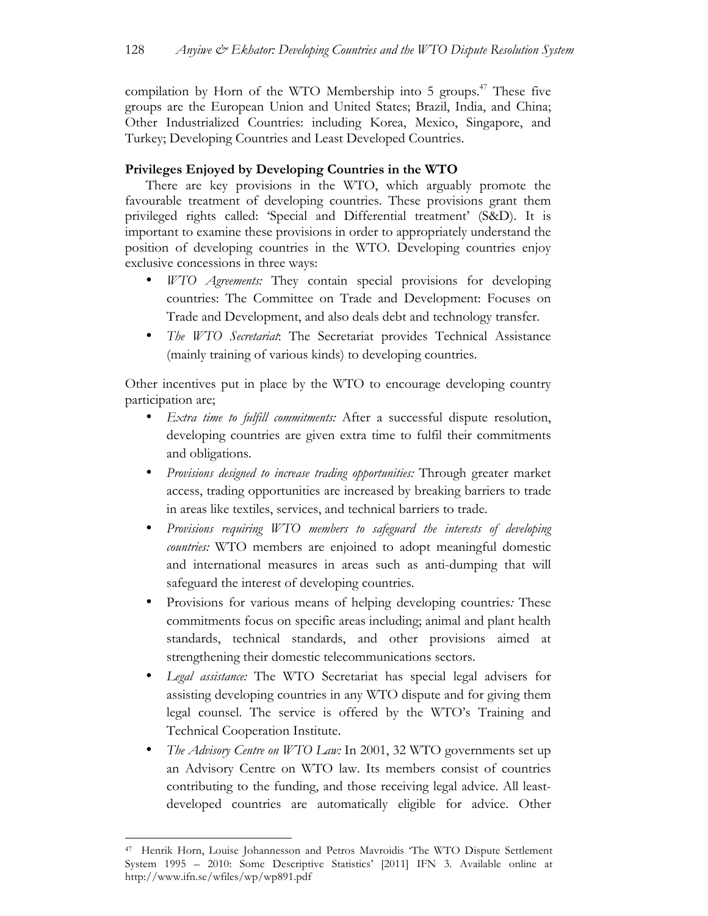compilation by Horn of the WTO Membership into 5 groups. $47$  These five groups are the European Union and United States; Brazil, India, and China; Other Industrialized Countries: including Korea, Mexico, Singapore, and Turkey; Developing Countries and Least Developed Countries.

# **Privileges Enjoyed by Developing Countries in the WTO**

There are key provisions in the WTO, which arguably promote the favourable treatment of developing countries. These provisions grant them privileged rights called: 'Special and Differential treatment' (S&D). It is important to examine these provisions in order to appropriately understand the position of developing countries in the WTO. Developing countries enjoy exclusive concessions in three ways:

- *WTO Agreements:* They contain special provisions for developing countries: The Committee on Trade and Development: Focuses on Trade and Development, and also deals debt and technology transfer.
- *The WTO Secretariat*: The Secretariat provides Technical Assistance (mainly training of various kinds) to developing countries.

Other incentives put in place by the WTO to encourage developing country participation are;

- *Extra time to fulfill commitments:* After a successful dispute resolution, developing countries are given extra time to fulfil their commitments and obligations.
- *Provisions designed to increase trading opportunities:* Through greater market access, trading opportunities are increased by breaking barriers to trade in areas like textiles, services, and technical barriers to trade.
- *Provisions requiring WTO members to safeguard the interests of developing countries:* WTO members are enjoined to adopt meaningful domestic and international measures in areas such as anti-dumping that will safeguard the interest of developing countries.
- Provisions for various means of helping developing countries*:* These commitments focus on specific areas including; animal and plant health standards, technical standards, and other provisions aimed at strengthening their domestic telecommunications sectors.
- *Legal assistance:* The WTO Secretariat has special legal advisers for assisting developing countries in any WTO dispute and for giving them legal counsel. The service is offered by the WTO's Training and Technical Cooperation Institute.
- *The Advisory Centre on WTO Law:* In 2001, 32 WTO governments set up an Advisory Centre on WTO law. Its members consist of countries contributing to the funding, and those receiving legal advice. All leastdeveloped countries are automatically eligible for advice. Other

<sup>47</sup> Henrik Horn, Louise Johannesson and Petros Mavroidis 'The WTO Dispute Settlement System 1995 – 2010: Some Descriptive Statistics' [2011] IFN 3. Available online at http://www.ifn.se/wfiles/wp/wp891.pdf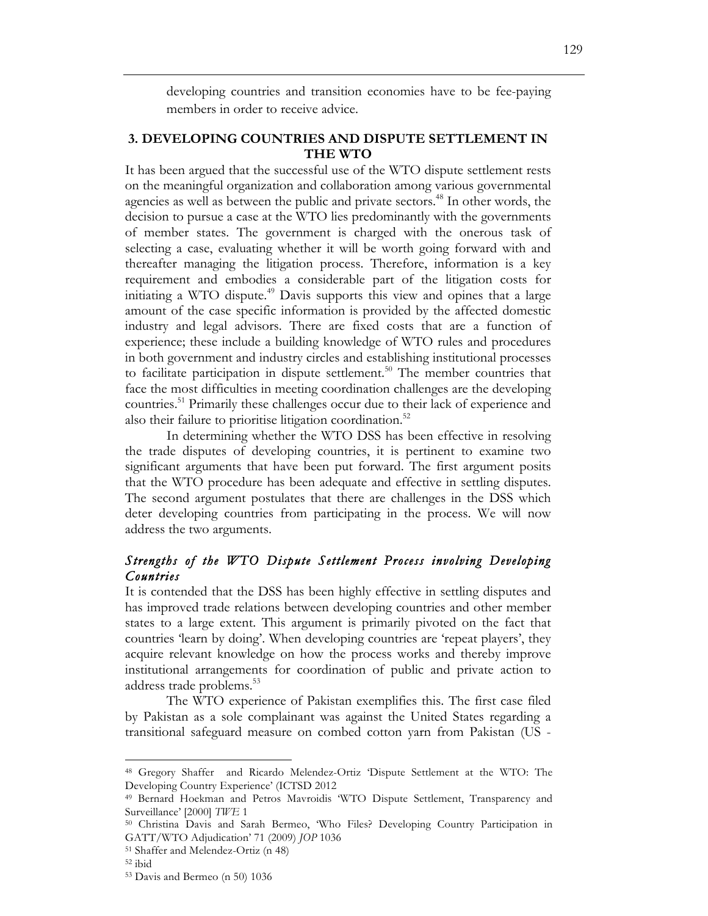developing countries and transition economies have to be fee-paying members in order to receive advice.

### **3. DEVELOPING COUNTRIES AND DISPUTE SETTLEMENT IN THE WTO**

It has been argued that the successful use of the WTO dispute settlement rests on the meaningful organization and collaboration among various governmental agencies as well as between the public and private sectors.<sup>48</sup> In other words, the decision to pursue a case at the WTO lies predominantly with the governments of member states. The government is charged with the onerous task of selecting a case, evaluating whether it will be worth going forward with and thereafter managing the litigation process. Therefore, information is a key requirement and embodies a considerable part of the litigation costs for initiating a WTO dispute.<sup>49</sup> Davis supports this view and opines that a large amount of the case specific information is provided by the affected domestic industry and legal advisors. There are fixed costs that are a function of experience; these include a building knowledge of WTO rules and procedures in both government and industry circles and establishing institutional processes to facilitate participation in dispute settlement.<sup>50</sup> The member countries that face the most difficulties in meeting coordination challenges are the developing countries.51 Primarily these challenges occur due to their lack of experience and also their failure to prioritise litigation coordination.<sup>52</sup>

In determining whether the WTO DSS has been effective in resolving the trade disputes of developing countries, it is pertinent to examine two significant arguments that have been put forward. The first argument posits that the WTO procedure has been adequate and effective in settling disputes. The second argument postulates that there are challenges in the DSS which deter developing countries from participating in the process. We will now address the two arguments.

# *Strengths of the WTO Dispute Settlement Process involving Developing Countries*

It is contended that the DSS has been highly effective in settling disputes and has improved trade relations between developing countries and other member states to a large extent. This argument is primarily pivoted on the fact that countries 'learn by doing'. When developing countries are 'repeat players', they acquire relevant knowledge on how the process works and thereby improve institutional arrangements for coordination of public and private action to address trade problems.<sup>53</sup>

The WTO experience of Pakistan exemplifies this. The first case filed by Pakistan as a sole complainant was against the United States regarding a transitional safeguard measure on combed cotton yarn from Pakistan (US -

<sup>48</sup> Gregory Shaffer and Ricardo Melendez-Ortiz 'Dispute Settlement at the WTO: The Developing Country Experience' (ICTSD 2012

<sup>49</sup> Bernard Hoekman and Petros Mavroidis 'WTO Dispute Settlement, Transparency and Surveillance' [2000] *TWE* 1

<sup>50</sup> Christina Davis and Sarah Bermeo, 'Who Files? Developing Country Participation in GATT/WTO Adjudication' 71 (2009) *JOP* 1036

<sup>51</sup> Shaffer and Melendez-Ortiz (n 48)

<sup>52</sup> ibid

<sup>53</sup> Davis and Bermeo (n 50) 1036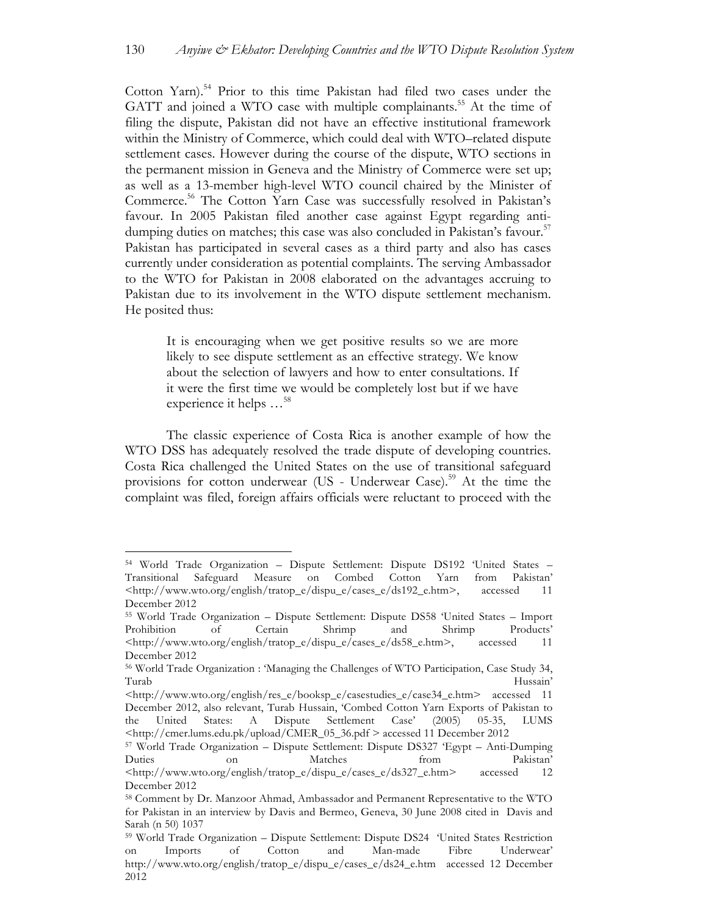Cotton Yarn).<sup>54</sup> Prior to this time Pakistan had filed two cases under the GATT and joined a WTO case with multiple complainants.<sup>55</sup> At the time of filing the dispute, Pakistan did not have an effective institutional framework within the Ministry of Commerce, which could deal with WTO–related dispute settlement cases. However during the course of the dispute, WTO sections in the permanent mission in Geneva and the Ministry of Commerce were set up; as well as a 13-member high-level WTO council chaired by the Minister of Commerce.56 The Cotton Yarn Case was successfully resolved in Pakistan's favour. In 2005 Pakistan filed another case against Egypt regarding antidumping duties on matches; this case was also concluded in Pakistan's favour.<sup>57</sup> Pakistan has participated in several cases as a third party and also has cases currently under consideration as potential complaints. The serving Ambassador to the WTO for Pakistan in 2008 elaborated on the advantages accruing to Pakistan due to its involvement in the WTO dispute settlement mechanism. He posited thus:

It is encouraging when we get positive results so we are more likely to see dispute settlement as an effective strategy. We know about the selection of lawyers and how to enter consultations. If it were the first time we would be completely lost but if we have experience it helps …58

The classic experience of Costa Rica is another example of how the WTO DSS has adequately resolved the trade dispute of developing countries. Costa Rica challenged the United States on the use of transitional safeguard provisions for cotton underwear (US - Underwear Case).<sup>59</sup> At the time the complaint was filed, foreign affairs officials were reluctant to proceed with the

<sup>54</sup> World Trade Organization – Dispute Settlement: Dispute DS192 'United States – Transitional Safeguard Measure on Combed Cotton Yarn from Pakistan' <http://www.wto.org/english/tratop\_e/dispu\_e/cases\_e/ds192\_e.htm>, accessed 11 December 2012

<sup>55</sup> World Trade Organization – Dispute Settlement: Dispute DS58 'United States – Import Prohibition of Certain Shrimp and Shrimp Products' <http://www.wto.org/english/tratop\_e/dispu\_e/cases\_e/ds58\_e.htm>, accessed 11 December 2012

<sup>56</sup> World Trade Organization : 'Managing the Challenges of WTO Participation, Case Study 34, Turab Hussain'

<sup>&</sup>lt;http://www.wto.org/english/res\_e/booksp\_e/casestudies\_e/case34\_e.htm> accessed 11 December 2012, also relevant, Turab Hussain, 'Combed Cotton Yarn Exports of Pakistan to the United States: A Dispute Settlement Case' (2005) 05-35, LUMS <http://cmer.lums.edu.pk/upload/CMER\_05\_36.pdf > accessed 11 December 2012

<sup>57</sup> World Trade Organization – Dispute Settlement: Dispute DS327 'Egypt – Anti-Dumping Duties on Matches from Pakistan' <http://www.wto.org/english/tratop\_e/dispu\_e/cases\_e/ds327\_e.htm> accessed 12 December 2012

<sup>58</sup> Comment by Dr. Manzoor Ahmad, Ambassador and Permanent Representative to the WTO for Pakistan in an interview by Davis and Bermeo, Geneva, 30 June 2008 cited in Davis and Sarah (n 50) 1037

<sup>59</sup> World Trade Organization – Dispute Settlement: Dispute DS24 'United States Restriction on Imports of Cotton and Man-made Fibre Underwear' http://www.wto.org/english/tratop\_e/dispu\_e/cases\_e/ds24\_e.htm accessed 12 December 2012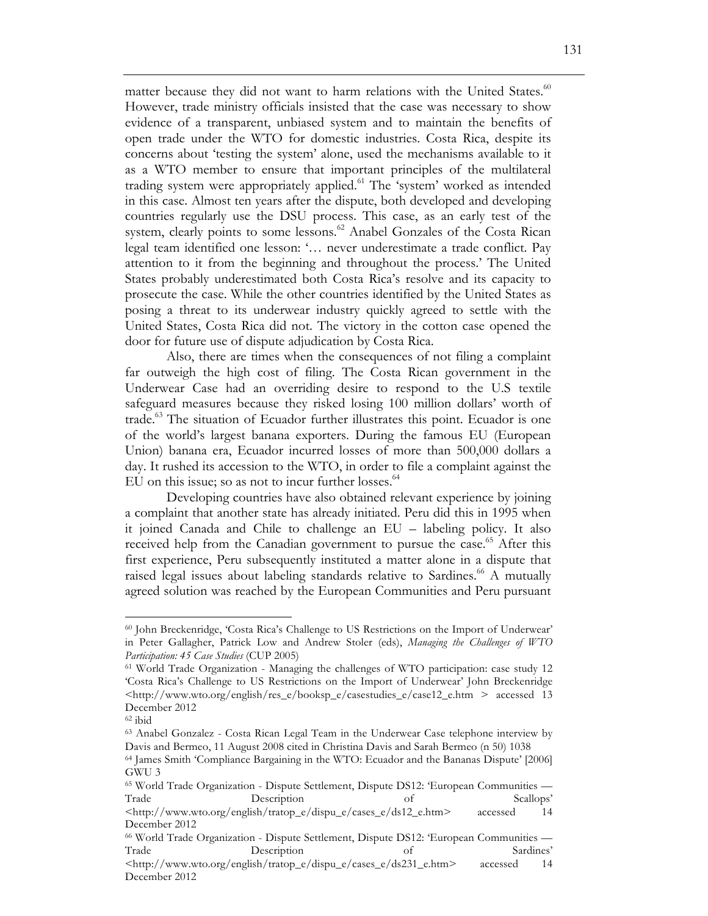matter because they did not want to harm relations with the United States.<sup>60</sup> However, trade ministry officials insisted that the case was necessary to show evidence of a transparent, unbiased system and to maintain the benefits of open trade under the WTO for domestic industries. Costa Rica, despite its concerns about 'testing the system' alone, used the mechanisms available to it as a WTO member to ensure that important principles of the multilateral trading system were appropriately applied.<sup>61</sup> The 'system' worked as intended in this case. Almost ten years after the dispute, both developed and developing countries regularly use the DSU process. This case, as an early test of the system, clearly points to some lessons.<sup>62</sup> Anabel Gonzales of the Costa Rican legal team identified one lesson: '… never underestimate a trade conflict. Pay attention to it from the beginning and throughout the process.' The United States probably underestimated both Costa Rica's resolve and its capacity to prosecute the case. While the other countries identified by the United States as posing a threat to its underwear industry quickly agreed to settle with the United States, Costa Rica did not. The victory in the cotton case opened the door for future use of dispute adjudication by Costa Rica.

Also, there are times when the consequences of not filing a complaint far outweigh the high cost of filing. The Costa Rican government in the Underwear Case had an overriding desire to respond to the U.S textile safeguard measures because they risked losing 100 million dollars' worth of trade.63 The situation of Ecuador further illustrates this point. Ecuador is one of the world's largest banana exporters. During the famous EU (European Union) banana era, Ecuador incurred losses of more than 500,000 dollars a day. It rushed its accession to the WTO, in order to file a complaint against the EU on this issue; so as not to incur further losses.<sup>64</sup>

Developing countries have also obtained relevant experience by joining a complaint that another state has already initiated. Peru did this in 1995 when it joined Canada and Chile to challenge an EU – labeling policy. It also received help from the Canadian government to pursue the case.<sup>65</sup> After this first experience, Peru subsequently instituted a matter alone in a dispute that raised legal issues about labeling standards relative to Sardines.<sup>66</sup> A mutually agreed solution was reached by the European Communities and Peru pursuant

<sup>60</sup> John Breckenridge, 'Costa Rica's Challenge to US Restrictions on the Import of Underwear' in Peter Gallagher, Patrick Low and Andrew Stoler (eds), *Managing the Challenges of WTO Participation: 45 Case Studies* (CUP 2005)<br><sup>61</sup> World Trade Organization - Managing the challenges of WTO participation: case study 12

<sup>&#</sup>x27;Costa Rica's Challenge to US Restrictions on the Import of Underwear' John Breckenridge <http://www.wto.org/english/res\_e/booksp\_e/casestudies\_e/case12\_e.htm > accessed 13 December 2012

<sup>62</sup> ibid

<sup>63</sup> Anabel Gonzalez - Costa Rican Legal Team in the Underwear Case telephone interview by Davis and Bermeo, 11 August 2008 cited in Christina Davis and Sarah Bermeo (n 50) 1038

<sup>64</sup> James Smith 'Compliance Bargaining in the WTO: Ecuador and the Bananas Dispute' [2006] GWU 3

<sup>65</sup> World Trade Organization - Dispute Settlement, Dispute DS12: 'European Communities — Trade Description of Scallops'

<sup>&</sup>lt;http://www.wto.org/english/tratop\_e/dispu\_e/cases\_e/ds12\_e.htm> accessed 14 December 2012

<sup>66</sup> World Trade Organization - Dispute Settlement, Dispute DS12: 'European Communities — Trade Description of Sardines'

<sup>&</sup>lt;http://www.wto.org/english/tratop\_e/dispu\_e/cases\_e/ds231\_e.htm> accessed 14 December 2012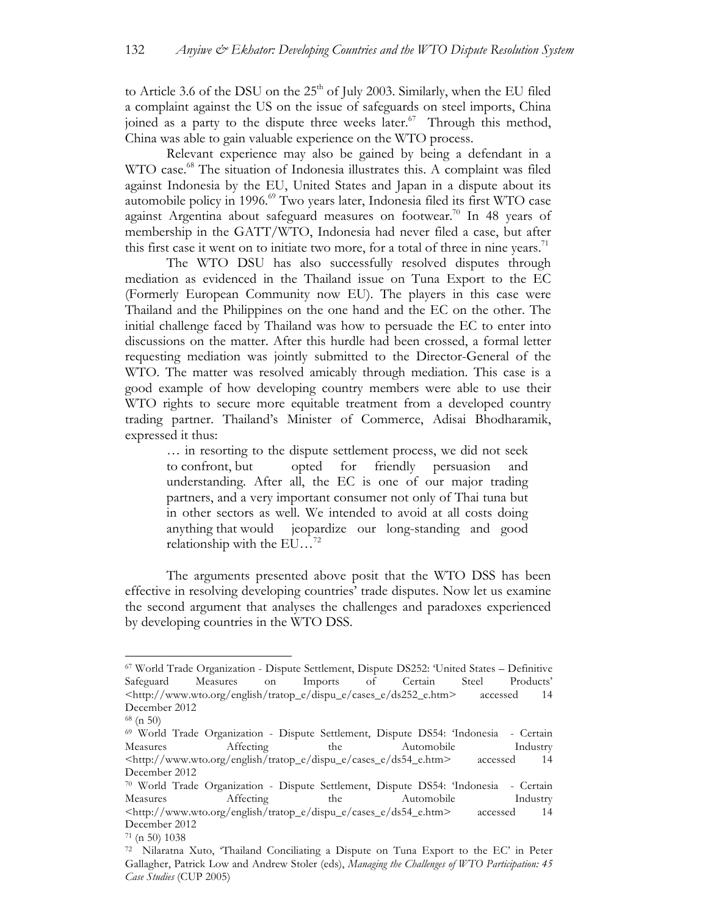to Article 3.6 of the DSU on the  $25<sup>th</sup>$  of July 2003. Similarly, when the EU filed a complaint against the US on the issue of safeguards on steel imports, China joined as a party to the dispute three weeks later. <sup> $67$ </sup> Through this method, China was able to gain valuable experience on the WTO process.

Relevant experience may also be gained by being a defendant in a WTO case.<sup>68</sup> The situation of Indonesia illustrates this. A complaint was filed against Indonesia by the EU, United States and Japan in a dispute about its automobile policy in 1996.<sup>69</sup> Two years later, Indonesia filed its first WTO case against Argentina about safeguard measures on footwear.<sup>70</sup> In 48 years of membership in the GATT/WTO, Indonesia had never filed a case, but after this first case it went on to initiate two more, for a total of three in nine years.<sup>71</sup>

The WTO DSU has also successfully resolved disputes through mediation as evidenced in the Thailand issue on Tuna Export to the EC (Formerly European Community now EU). The players in this case were Thailand and the Philippines on the one hand and the EC on the other. The initial challenge faced by Thailand was how to persuade the EC to enter into discussions on the matter. After this hurdle had been crossed, a formal letter requesting mediation was jointly submitted to the Director-General of the WTO. The matter was resolved amicably through mediation. This case is a good example of how developing country members were able to use their WTO rights to secure more equitable treatment from a developed country trading partner. Thailand's Minister of Commerce, Adisai Bhodharamik, expressed it thus:

… in resorting to the dispute settlement process, we did not seek to confront, but opted for friendly persuasion and understanding. After all, the EC is one of our major trading partners, and a very important consumer not only of Thai tuna but in other sectors as well. We intended to avoid at all costs doing anything that would jeopardize our long-standing and good relationship with the  $EU...^{72}$ 

The arguments presented above posit that the WTO DSS has been effective in resolving developing countries' trade disputes. Now let us examine the second argument that analyses the challenges and paradoxes experienced by developing countries in the WTO DSS.

<sup>67</sup> World Trade Organization - Dispute Settlement, Dispute DS252: 'United States – Definitive Safeguard Measures on Imports of Certain Steel Products' <http://www.wto.org/english/tratop\_e/dispu\_e/cases\_e/ds252\_e.htm> accessed 14 December 2012

<sup>68</sup> (n 50)

<sup>69</sup> World Trade Organization - Dispute Settlement, Dispute DS54: 'Indonesia - Certain Measures Affecting the Automobile Industry <http://www.wto.org/english/tratop\_e/dispu\_e/cases\_e/ds54\_e.htm> accessed 14 December 2012

<sup>70</sup> World Trade Organization - Dispute Settlement, Dispute DS54: 'Indonesia - Certain Measures Affecting the Automobile Industry <http://www.wto.org/english/tratop\_e/dispu\_e/cases\_e/ds54\_e.htm> accessed 14 December 2012

<sup>71</sup> (n 50) 1038

<sup>72</sup> Nilaratna Xuto, 'Thailand Conciliating a Dispute on Tuna Export to the EC' in Peter Gallagher, Patrick Low and Andrew Stoler (eds), *Managing the Challenges of WTO Participation: 45 Case Studies* (CUP 2005)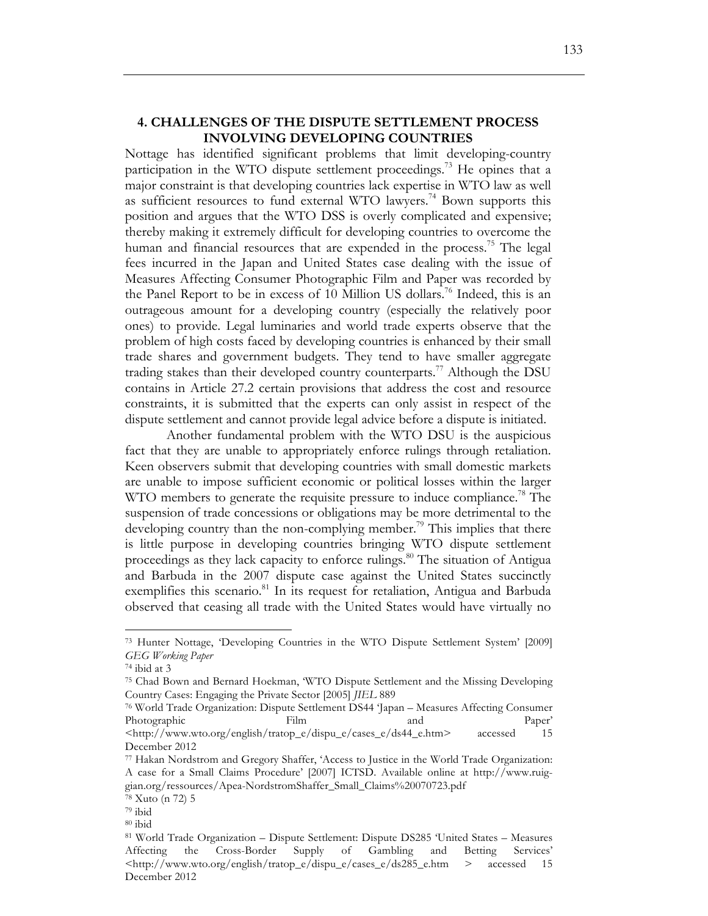# **4. CHALLENGES OF THE DISPUTE SETTLEMENT PROCESS INVOLVING DEVELOPING COUNTRIES**

Nottage has identified significant problems that limit developing-country participation in the WTO dispute settlement proceedings.<sup>73</sup> He opines that a major constraint is that developing countries lack expertise in WTO law as well as sufficient resources to fund external WTO lawyers.<sup>74</sup> Bown supports this position and argues that the WTO DSS is overly complicated and expensive; thereby making it extremely difficult for developing countries to overcome the human and financial resources that are expended in the process.<sup>75</sup> The legal fees incurred in the Japan and United States case dealing with the issue of Measures Affecting Consumer Photographic Film and Paper was recorded by the Panel Report to be in excess of 10 Million US dollars.<sup>76</sup> Indeed, this is an outrageous amount for a developing country (especially the relatively poor ones) to provide. Legal luminaries and world trade experts observe that the problem of high costs faced by developing countries is enhanced by their small trade shares and government budgets. They tend to have smaller aggregate trading stakes than their developed country counterparts.77 Although the DSU contains in Article 27.2 certain provisions that address the cost and resource constraints, it is submitted that the experts can only assist in respect of the dispute settlement and cannot provide legal advice before a dispute is initiated.

Another fundamental problem with the WTO DSU is the auspicious fact that they are unable to appropriately enforce rulings through retaliation. Keen observers submit that developing countries with small domestic markets are unable to impose sufficient economic or political losses within the larger WTO members to generate the requisite pressure to induce compliance.<sup>78</sup> The suspension of trade concessions or obligations may be more detrimental to the developing country than the non-complying member.<sup>79</sup> This implies that there is little purpose in developing countries bringing WTO dispute settlement proceedings as they lack capacity to enforce rulings.<sup>80</sup> The situation of Antigua and Barbuda in the 2007 dispute case against the United States succinctly exemplifies this scenario.<sup>81</sup> In its request for retaliation, Antigua and Barbuda observed that ceasing all trade with the United States would have virtually no

 $\overline{a}$ 

<sup>76</sup> World Trade Organization: Dispute Settlement DS44 'Japan – Measures Affecting Consumer Photographic Film and Paper's Paper's Photographic Paper's Film and Paper's Paper's Paper's Paper's Paper's Paper's Paper's Paper's Paper's Paper's Paper's Paper's Paper's Paper's Paper's Paper's Paper's Paper's Paper's Pa <http://www.wto.org/english/tratop\_e/dispu\_e/cases\_e/ds44\_e.htm> accessed 15 December 2012

<sup>73</sup> Hunter Nottage, 'Developing Countries in the WTO Dispute Settlement System' [2009] *GEG Working Paper*

<sup>74</sup> ibid at 3

<sup>75</sup> Chad Bown and Bernard Hoekman, 'WTO Dispute Settlement and the Missing Developing Country Cases: Engaging the Private Sector [2005] *JIEL* 889

<sup>77</sup> Hakan Nordstrom and Gregory Shaffer, 'Access to Justice in the World Trade Organization: A case for a Small Claims Procedure' [2007] ICTSD. Available online at http://www.ruiggian.org/ressources/Apea-NordstromShaffer\_Small\_Claims%20070723.pdf

<sup>78</sup> Xuto (n 72) 5

<sup>79</sup> ibid

<sup>80</sup> ibid

<sup>81</sup> World Trade Organization – Dispute Settlement: Dispute DS285 'United States – Measures Affecting the Cross-Border Supply of Gambling and Betting Services' <http://www.wto.org/english/tratop\_e/dispu\_e/cases\_e/ds285\_e.htm > accessed 15 December 2012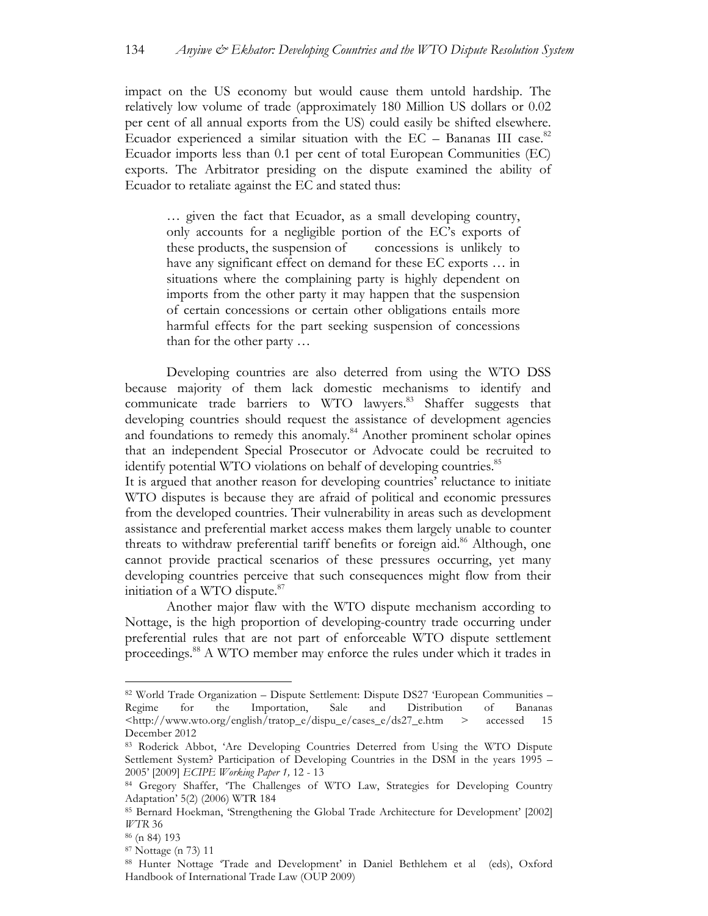impact on the US economy but would cause them untold hardship. The relatively low volume of trade (approximately 180 Million US dollars or 0.02 per cent of all annual exports from the US) could easily be shifted elsewhere. Ecuador experienced a similar situation with the  $EC -$  Bananas III case.<sup>82</sup> Ecuador imports less than 0.1 per cent of total European Communities (EC) exports. The Arbitrator presiding on the dispute examined the ability of Ecuador to retaliate against the EC and stated thus:

… given the fact that Ecuador, as a small developing country, only accounts for a negligible portion of the EC's exports of these products, the suspension of concessions is unlikely to have any significant effect on demand for these EC exports … in situations where the complaining party is highly dependent on imports from the other party it may happen that the suspension of certain concessions or certain other obligations entails more harmful effects for the part seeking suspension of concessions than for the other party …

Developing countries are also deterred from using the WTO DSS because majority of them lack domestic mechanisms to identify and communicate trade barriers to WTO lawyers.<sup>83</sup> Shaffer suggests that developing countries should request the assistance of development agencies and foundations to remedy this anomaly.<sup>84</sup> Another prominent scholar opines that an independent Special Prosecutor or Advocate could be recruited to identify potential WTO violations on behalf of developing countries.<sup>85</sup>

It is argued that another reason for developing countries' reluctance to initiate WTO disputes is because they are afraid of political and economic pressures from the developed countries. Their vulnerability in areas such as development assistance and preferential market access makes them largely unable to counter threats to withdraw preferential tariff benefits or foreign aid.<sup>86</sup> Although, one cannot provide practical scenarios of these pressures occurring, yet many developing countries perceive that such consequences might flow from their initiation of a WTO dispute.<sup>87</sup>

Another major flaw with the WTO dispute mechanism according to Nottage, is the high proportion of developing-country trade occurring under preferential rules that are not part of enforceable WTO dispute settlement proceedings.88 A WTO member may enforce the rules under which it trades in

<sup>82</sup> World Trade Organization – Dispute Settlement: Dispute DS27 'European Communities – Regime for the Importation, Sale and Distribution of Bananas <http://www.wto.org/english/tratop\_e/dispu\_e/cases\_e/ds27\_e.htm > accessed 15 December 2012

<sup>83</sup> Roderick Abbot, 'Are Developing Countries Deterred from Using the WTO Dispute Settlement System? Participation of Developing Countries in the DSM in the years 1995 – 2005' [2009] *ECIPE Working Paper 1,* 12 - 13

<sup>84</sup> Gregory Shaffer, 'The Challenges of WTO Law, Strategies for Developing Country Adaptation' 5(2) (2006) WTR 184

<sup>85</sup> Bernard Hoekman, 'Strengthening the Global Trade Architecture for Development' [2002] *WTR* 36

<sup>86</sup> (n 84) 193

<sup>87</sup> Nottage (n 73) 11

<sup>88</sup> Hunter Nottage 'Trade and Development' in Daniel Bethlehem et al (eds), Oxford Handbook of International Trade Law (OUP 2009)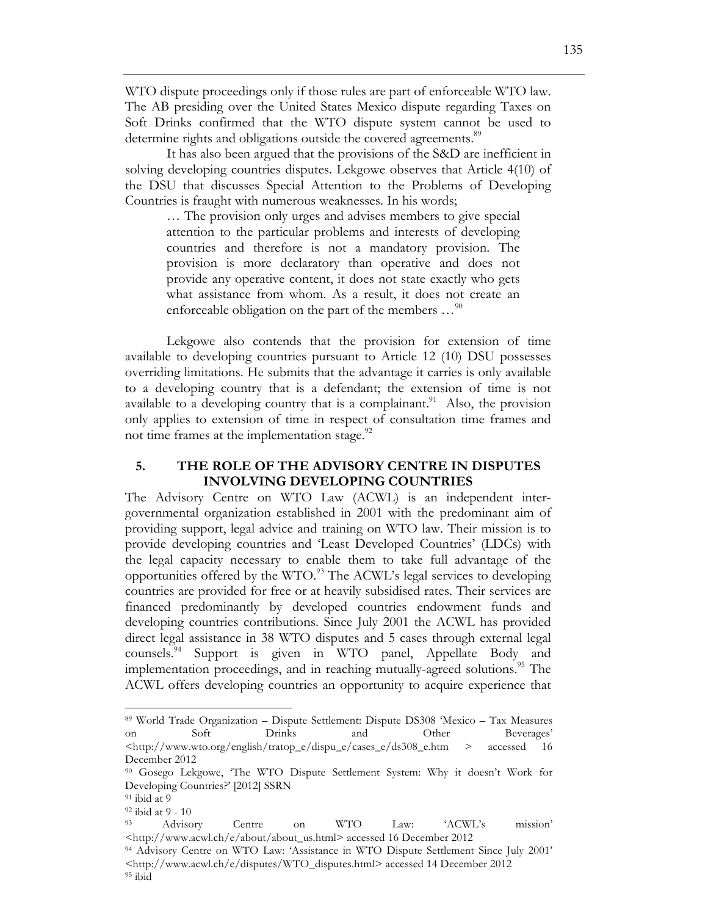WTO dispute proceedings only if those rules are part of enforceable WTO law. The AB presiding over the United States Mexico dispute regarding Taxes on Soft Drinks confirmed that the WTO dispute system cannot be used to determine rights and obligations outside the covered agreements.<sup>89</sup>

It has also been argued that the provisions of the S&D are inefficient in solving developing countries disputes. Lekgowe observes that Article 4(10) of the DSU that discusses Special Attention to the Problems of Developing Countries is fraught with numerous weaknesses. In his words;

… The provision only urges and advises members to give special attention to the particular problems and interests of developing countries and therefore is not a mandatory provision. The provision is more declaratory than operative and does not provide any operative content, it does not state exactly who gets what assistance from whom. As a result, it does not create an enforceable obligation on the part of the members  $\ldots$ <sup>90</sup>

Lekgowe also contends that the provision for extension of time available to developing countries pursuant to Article 12 (10) DSU possesses overriding limitations. He submits that the advantage it carries is only available to a developing country that is a defendant; the extension of time is not available to a developing country that is a complainant.<sup>91</sup> Also, the provision only applies to extension of time in respect of consultation time frames and not time frames at the implementation stage. $^{92}$ 

# **5. THE ROLE OF THE ADVISORY CENTRE IN DISPUTES INVOLVING DEVELOPING COUNTRIES**

The Advisory Centre on WTO Law (ACWL) is an independent intergovernmental organization established in 2001 with the predominant aim of providing support, legal advice and training on WTO law. Their mission is to provide developing countries and 'Least Developed Countries' (LDCs) with the legal capacity necessary to enable them to take full advantage of the opportunities offered by the WTO.<sup>93</sup> The ACWL's legal services to developing countries are provided for free or at heavily subsidised rates. Their services are financed predominantly by developed countries endowment funds and developing countries contributions. Since July 2001 the ACWL has provided direct legal assistance in 38 WTO disputes and 5 cases through external legal counsels.94 Support is given in WTO panel, Appellate Body and implementation proceedings, and in reaching mutually-agreed solutions.<sup>95</sup> The ACWL offers developing countries an opportunity to acquire experience that

<sup>89</sup> World Trade Organization – Dispute Settlement: Dispute DS308 'Mexico – Tax Measures on Soft Drinks and Other Beverages' <http://www.wto.org/english/tratop\_e/dispu\_e/cases\_e/ds308\_e.htm > accessed 16 December 2012

<sup>90</sup> Gosego Lekgowe, 'The WTO Dispute Settlement System: Why it doesn't Work for Developing Countries?' [2012] SSRN

<sup>91</sup> ibid at 9

<sup>92</sup> ibid at 9 - 10

<sup>93</sup> Advisory Centre on WTO Law: 'ACWL's mission' <http://www.acwl.ch/e/about/about\_us.html> accessed 16 December 2012

<sup>94</sup> Advisory Centre on WTO Law: 'Assistance in WTO Dispute Settlement Since July 2001' <http://www.acwl.ch/e/disputes/WTO\_disputes.html> accessed 14 December 2012 <sup>95</sup> ibid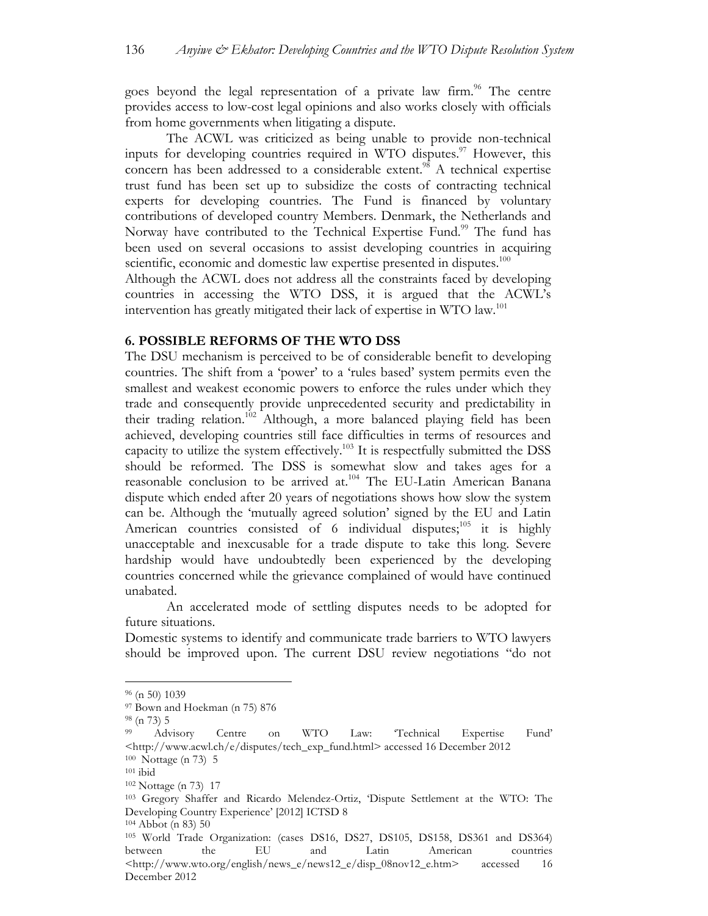goes beyond the legal representation of a private law firm.<sup>96</sup> The centre provides access to low-cost legal opinions and also works closely with officials from home governments when litigating a dispute.

The ACWL was criticized as being unable to provide non-technical inputs for developing countries required in WTO disputes.<sup>97</sup> However, this concern has been addressed to a considerable extent.<sup>98</sup> A technical expertise trust fund has been set up to subsidize the costs of contracting technical experts for developing countries. The Fund is financed by voluntary contributions of developed country Members. Denmark, the Netherlands and Norway have contributed to the Technical Expertise Fund.<sup>99</sup> The fund has been used on several occasions to assist developing countries in acquiring scientific, economic and domestic law expertise presented in disputes.<sup>100</sup>

Although the ACWL does not address all the constraints faced by developing countries in accessing the WTO DSS, it is argued that the ACWL's intervention has greatly mitigated their lack of expertise in WTO law.<sup>101</sup>

#### **6. POSSIBLE REFORMS OF THE WTO DSS**

The DSU mechanism is perceived to be of considerable benefit to developing countries. The shift from a 'power' to a 'rules based' system permits even the smallest and weakest economic powers to enforce the rules under which they trade and consequently provide unprecedented security and predictability in their trading relation.<sup>102</sup> Although, a more balanced playing field has been achieved, developing countries still face difficulties in terms of resources and capacity to utilize the system effectively.103 It is respectfully submitted the DSS should be reformed. The DSS is somewhat slow and takes ages for a reasonable conclusion to be arrived at.104 The EU-Latin American Banana dispute which ended after 20 years of negotiations shows how slow the system can be. Although the 'mutually agreed solution' signed by the EU and Latin American countries consisted of  $6$  individual disputes;<sup>105</sup> it is highly unacceptable and inexcusable for a trade dispute to take this long. Severe hardship would have undoubtedly been experienced by the developing countries concerned while the grievance complained of would have continued unabated.

An accelerated mode of settling disputes needs to be adopted for future situations.

Domestic systems to identify and communicate trade barriers to WTO lawyers should be improved upon. The current DSU review negotiations "do not

<sup>96</sup> (n 50) 1039

<sup>97</sup> Bown and Hoekman (n 75) 876

<sup>98</sup> (n 73) 5

<sup>99</sup> Advisory Centre on WTO Law: 'Technical Expertise Fund' <http://www.acwl.ch/e/disputes/tech\_exp\_fund.html> accessed 16 December 2012 100 Nottage (n 73) 5

 $101$  ibid

<sup>102</sup> Nottage (n 73) 17

<sup>103</sup> Gregory Shaffer and Ricardo Melendez-Ortiz, 'Dispute Settlement at the WTO: The Developing Country Experience' [2012] ICTSD 8

<sup>104</sup> Abbot (n 83) 50

<sup>105</sup> World Trade Organization: (cases DS16, DS27, DS105, DS158, DS361 and DS364) between the EU and Latin American countries <http://www.wto.org/english/news\_e/news12\_e/disp\_08nov12\_e.htm> accessed 16 December 2012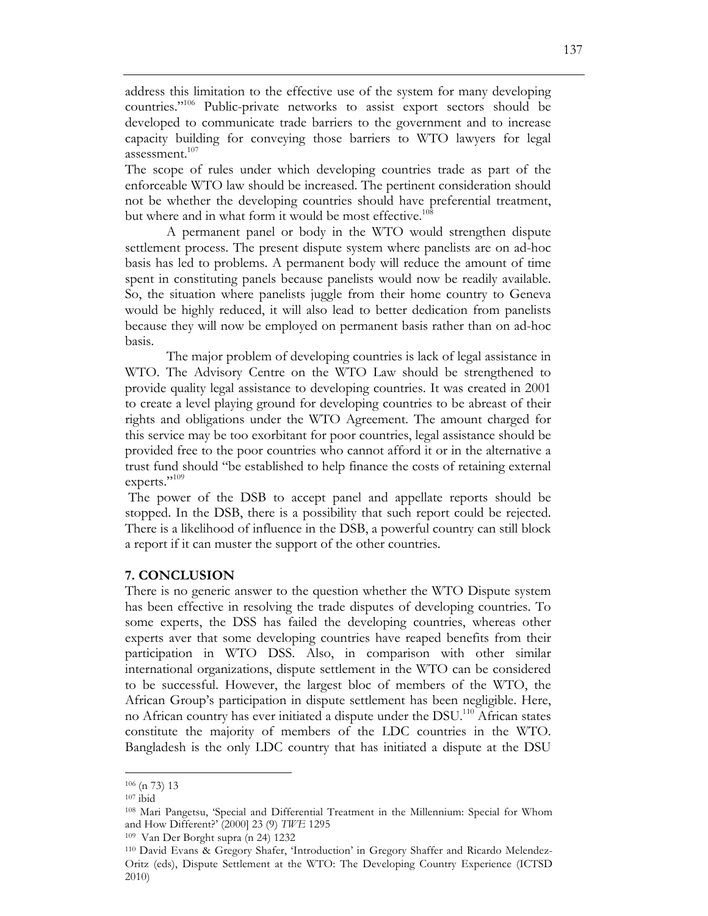address this limitation to the effective use of the system for many developing countries."106 Public-private networks to assist export sectors should be developed to communicate trade barriers to the government and to increase capacity building for conveying those barriers to WTO lawyers for legal assessment.<sup>107</sup>

The scope of rules under which developing countries trade as part of the enforceable WTO law should be increased. The pertinent consideration should not be whether the developing countries should have preferential treatment, but where and in what form it would be most effective.<sup>108</sup>

A permanent panel or body in the WTO would strengthen dispute settlement process. The present dispute system where panelists are on ad-hoc basis has led to problems. A permanent body will reduce the amount of time spent in constituting panels because panelists would now be readily available. So, the situation where panelists juggle from their home country to Geneva would be highly reduced, it will also lead to better dedication from panelists because they will now be employed on permanent basis rather than on ad-hoc basis.

The major problem of developing countries is lack of legal assistance in WTO. The Advisory Centre on the WTO Law should be strengthened to provide quality legal assistance to developing countries. It was created in 2001 to create a level playing ground for developing countries to be abreast of their rights and obligations under the WTO Agreement. The amount charged for this service may be too exorbitant for poor countries, legal assistance should be provided free to the poor countries who cannot afford it or in the alternative a trust fund should "be established to help finance the costs of retaining external experts."109

The power of the DSB to accept panel and appellate reports should be stopped. In the DSB, there is a possibility that such report could be rejected. There is a likelihood of influence in the DSB, a powerful country can still block a report if it can muster the support of the other countries.

# **7. CONCLUSION**

There is no generic answer to the question whether the WTO Dispute system has been effective in resolving the trade disputes of developing countries. To some experts, the DSS has failed the developing countries, whereas other experts aver that some developing countries have reaped benefits from their participation in WTO DSS. Also, in comparison with other similar international organizations, dispute settlement in the WTO can be considered to be successful. However, the largest bloc of members of the WTO, the African Group's participation in dispute settlement has been negligible. Here, no African country has ever initiated a dispute under the DSU.<sup>110</sup> African states constitute the majority of members of the LDC countries in the WTO. Bangladesh is the only LDC country that has initiated a dispute at the DSU

<sup>106</sup> (n 73) 13

 $107$  ibid

<sup>108</sup> Mari Pangetsu, 'Special and Differential Treatment in the Millennium: Special for Whom and How Different?' (2000] 23 (9) *TWE* 1295

<sup>109</sup> Van Der Borght supra (n 24) 1232

<sup>110</sup> David Evans & Gregory Shafer, 'Introduction' in Gregory Shaffer and Ricardo Melendez-Oritz (eds), Dispute Settlement at the WTO: The Developing Country Experience (ICTSD 2010)